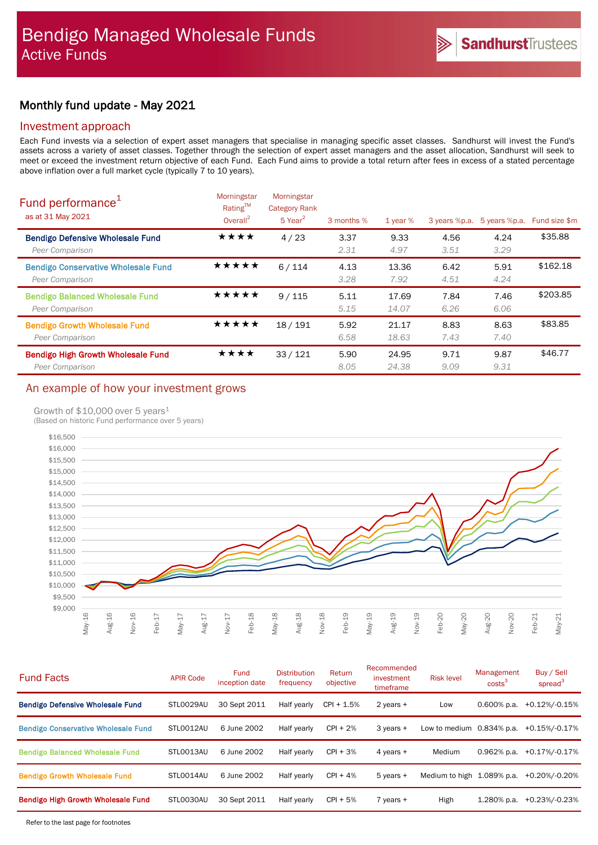# Monthly fund update - May 2021

### Investment approach

Each Fund invests via a selection of expert asset managers that specialise in managing specific asset classes. Sandhurst will invest the Fund's assets across a variety of asset classes. Together through the selection of expert asset managers and the asset allocation, Sandhurst will seek to meet or exceed the investment return objective of each Fund. Each Fund aims to provide a total return after fees in excess of a stated percentage above inflation over a full market cycle (typically 7 to 10 years).

| Fund performance <sup>1</sup><br>as at 31 May 2021            | Morningstar<br>Rating™<br>Overall $^2$ | Morningstar<br><b>Category Rank</b><br>$5$ Year <sup>2</sup> | 3 months %   | 1 year $%$     |              | 3 years %p.a. 5 years %p.a. | Fund size \$m |
|---------------------------------------------------------------|----------------------------------------|--------------------------------------------------------------|--------------|----------------|--------------|-----------------------------|---------------|
| <b>Bendigo Defensive Wholesale Fund</b><br>Peer Comparison    | ★★★★                                   | 4/23                                                         | 3.37<br>2.31 | 9.33<br>4.97   | 4.56<br>3.51 | 4.24<br>3.29                | \$35.88       |
| <b>Bendigo Conservative Wholesale Fund</b><br>Peer Comparison | ★★★★★                                  | 6/114                                                        | 4.13<br>3.28 | 13.36<br>7.92  | 6.42<br>4.51 | 5.91<br>4.24                | \$162.18      |
| <b>Bendigo Balanced Wholesale Fund</b><br>Peer Comparison     | *****                                  | 9/115                                                        | 5.11<br>5.15 | 17.69<br>14.07 | 7.84<br>6.26 | 7.46<br>6.06                | \$203.85      |
| <b>Bendigo Growth Wholesale Fund</b><br>Peer Comparison       | ★★★★★                                  | 18/191                                                       | 5.92<br>6.58 | 21.17<br>18.63 | 8.83<br>7.43 | 8.63<br>7.40                | \$83.85       |
| <b>Bendigo High Growth Wholesale Fund</b><br>Peer Comparison  | ★★★★                                   | 33/121                                                       | 5.90<br>8.05 | 24.95<br>24.38 | 9.71<br>9.09 | 9.87<br>9.31                | \$46.77       |

# An example of how your investment grows

### Growth of \$10,000 over 5 years<sup>1</sup>

(Based on historic Fund performance over 5 years)



| <b>Fund Facts</b>                          | <b>APIR Code</b> | Fund<br>inception date | <b>Distribution</b><br>frequency | Return<br>objective | Recommended<br>investment<br>timeframe | <b>Risk level</b>            | Management<br>costs <sup>3</sup> | Buy / Sell<br>spread <sup>3</sup> |
|--------------------------------------------|------------------|------------------------|----------------------------------|---------------------|----------------------------------------|------------------------------|----------------------------------|-----------------------------------|
| <b>Bendigo Defensive Wholesale Fund</b>    | STL0029AU        | 30 Sept 2011           | Half yearly                      | $CPI + 1.5%$        | 2 years +                              | Low                          | $0.600\%$ p.a.                   | +0.12%/-0.15%                     |
| <b>Bendigo Conservative Wholesale Fund</b> | STLO012AU        | 6 June 2002            | Half yearly                      | $CPI + 2%$          | $3$ years $+$                          | Low to medium $0.834\%$ p.a. |                                  | +0.15%/-0.17%                     |
| <b>Bendigo Balanced Wholesale Fund</b>     | STLO013AU        | 6 June 2002            | Half yearly                      | $CPI + 3%$          | 4 years +                              | Medium                       | 0.962% p.a.                      | +0.17%/-0.17%                     |
| <b>Bendigo Growth Wholesale Fund</b>       | STLO014AU        | 6 June 2002            | Half yearly                      | $CPI + 4%$          | $5$ years $+$                          | Medium to high 1.089% p.a.   |                                  | +0.20%/-0.20%                     |
| Bendigo High Growth Wholesale Fund         | STL0030AU        | 30 Sept 2011           | Half yearly                      | $CPI + 5%$          | $7$ years $+$                          | High                         | 1.280% p.a.                      | +0.23%/-0.23%                     |
|                                            |                  |                        |                                  |                     |                                        |                              |                                  |                                   |

Refer to the last page for footnotes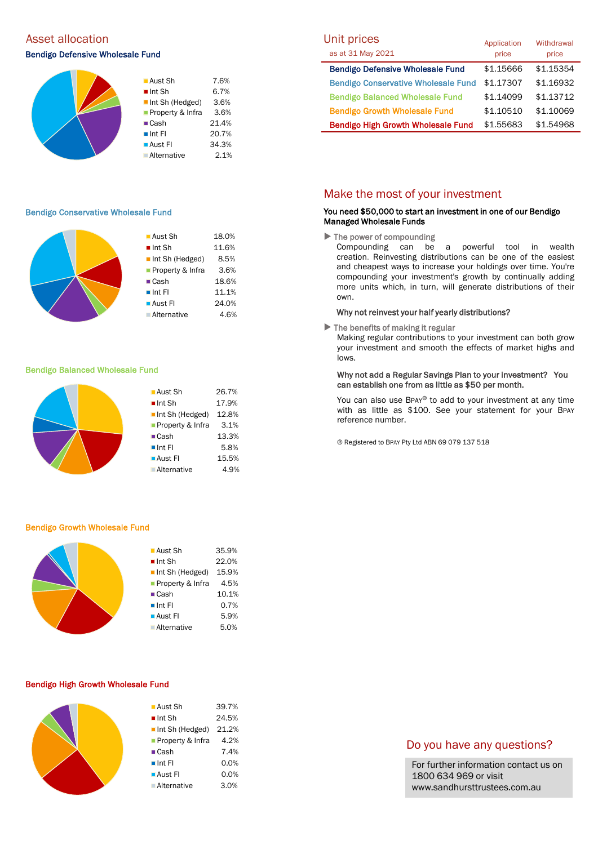# Asset allocation and the Unit prices of the Unit prices of Unit prices and Unit prices

#### Bendigo Defensive Wholesale Fund



#### Bendigo Conservative Wholesale Fund

| $\blacksquare$ Aust Sh | 18.0% |
|------------------------|-------|
| $\blacksquare$ Int Sh  | 11.6% |
| Int Sh (Hedged)        | 8.5%  |
| Property & Infra       | 3.6%  |
| $\blacksquare$ Cash    | 18.6% |
| $\blacksquare$ Int Fl  | 11.1% |
| $\blacksquare$ Aust FI | 24.0% |
| Alternative            | 4.6%  |
|                        |       |

#### Bendigo Balanced Wholesale Fund



#### Bendigo Growth Wholesale Fund

| ■ Aust Sh                      | 35.9% |
|--------------------------------|-------|
| $\blacksquare$ Int Sh          | 22.0% |
| $\blacksquare$ Int Sh (Hedged) | 15.9% |
| <b>Property &amp; Infra</b>    | 4.5%  |
| $\blacksquare$ Cash            | 10.1% |
| $\blacksquare$ Int FI          | 0.7%  |
| <b>Aust Fl</b>                 | 5.9%  |
| <b>Alternative</b>             | 5.0%  |
|                                |       |

#### Bendigo High Growth Wholesale Fund

| <b>Aust Sh</b>         | 39.7% |
|------------------------|-------|
| $\blacksquare$ Int Sh  | 24.5% |
| Int Sh (Hedged)        | 21.2% |
| ■ Property & Infra     | 4.2%  |
| $\blacksquare$ Cash    | 7.4%  |
| $\blacksquare$ Int FI  | 0.0%  |
| $\blacksquare$ Aust FI | 0.0%  |
| <b>Alternative</b>     | 3.0%  |
|                        |       |

| UNIT prices<br>as at 31 May 2021           | Application<br>price | Withdrawal<br>price |
|--------------------------------------------|----------------------|---------------------|
| <b>Bendigo Defensive Wholesale Fund</b>    | \$1.15666            | \$1.15354           |
| <b>Bendigo Conservative Wholesale Fund</b> | \$1.17307            | \$1.16932           |
| <b>Bendigo Balanced Wholesale Fund</b>     | \$1.14099            | \$1.13712           |
| <b>Bendigo Growth Wholesale Fund</b>       | \$1.10510            | \$1.10069           |
| <b>Bendigo High Growth Wholesale Fund</b>  | \$1.55683            | \$1.54968           |

### Make the most of your investment

#### You need \$50,000 to start an investment in one of our Bendigo Managed Wholesale Funds

 $\blacktriangleright$  The power of compounding

Compounding can be a powerful tool in wealth creation. Reinvesting distributions can be one of the easiest and cheapest ways to increase your holdings over time. You're compounding your investment's growth by continually adding more units which, in turn, will generate distributions of their own.

#### Why not reinvest your half yearly distributions?

 $\blacktriangleright$  The benefits of making it regular

Making regular contributions to your investment can both grow your investment and smooth the effects of market highs and lows.

#### Why not add a Regular Savings Plan to your investment? You can establish one from as little as \$50 per month.

You can also use BPAY® to add to your investment at any time with as little as \$100. See your statement for your BPAY reference number.

® Registered to BPAY Pty Ltd ABN 69 079 137 518

### Do you have any questions?

For further information contact us on 1800 634 969 or visit www.sandhursttrustees.com.au